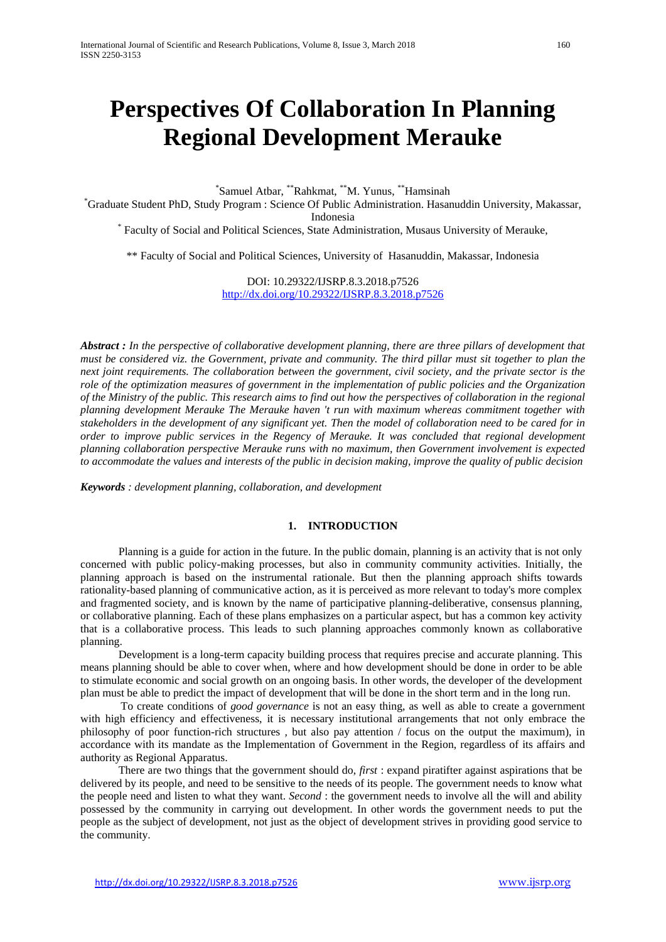# **Perspectives Of Collaboration In Planning Regional Development Merauke**

\*Samuel Atbar, \*\*Rahkmat, \*\*M. Yunus, \*\*Hamsinah<br>\*Graduate Student PhD, Study Program ; Science Of Public Administration, Hecat

Graduate Student PhD, Study Program : Science Of Public Administration. Hasanuddin University, Makassar,

Indonesia<br>Faculty of Social and Political Sciences, State Administration, Musaus University of Merauke,

\*\* Faculty of Social and Political Sciences, University of Hasanuddin, Makassar, Indonesia

DOI: 10.29322/IJSRP.8.3.2018.p7526 <http://dx.doi.org/10.29322/IJSRP.8.3.2018.p7526>

*Abstract : In the perspective of collaborative development planning, there are three pillars of development that must be considered viz. the Government, private and community. The third pillar must sit together to plan the next joint requirements. The collaboration between the government, civil society, and the private sector is the role of the optimization measures of government in the implementation of public policies and the Organization of the Ministry of the public. This research aims to find out how the perspectives of collaboration in the regional planning development Merauke The Merauke haven 't run with maximum whereas commitment together with stakeholders in the development of any significant yet. Then the model of collaboration need to be cared for in order to improve public services in the Regency of Merauke. It was concluded that regional development planning collaboration perspective Merauke runs with no maximum, then Government involvement is expected to accommodate the values and interests of the public in decision making, improve the quality of public decision*

*Keywords : development planning, collaboration, and development*

## **1. INTRODUCTION**

Planning is a guide for action in the future. In the public domain, planning is an activity that is not only concerned with public policy-making processes, but also in community community activities. Initially, the planning approach is based on the instrumental rationale. But then the planning approach shifts towards rationality-based planning of communicative action, as it is perceived as more relevant to today's more complex and fragmented society, and is known by the name of participative planning-deliberative, consensus planning, or collaborative planning. Each of these plans emphasizes on a particular aspect, but has a common key activity that is a collaborative process. This leads to such planning approaches commonly known as collaborative planning.

Development is a long-term capacity building process that requires precise and accurate planning. This means planning should be able to cover when, where and how development should be done in order to be able to stimulate economic and social growth on an ongoing basis. In other words, the developer of the development plan must be able to predict the impact of development that will be done in the short term and in the long run.

To create conditions of *good governance* is not an easy thing, as well as able to create a government with high efficiency and effectiveness, it is necessary institutional arrangements that not only embrace the philosophy of poor function-rich structures *,* but also pay attention / focus on the output the maximum), in accordance with its mandate as the Implementation of Government in the Region, regardless of its affairs and authority as Regional Apparatus.

There are two things that the government should do, *first* : expand piratifter against aspirations that be delivered by its people, and need to be sensitive to the needs of its people. The government needs to know what the people need and listen to what they want. *Second* : the government needs to involve all the will and ability possessed by the community in carrying out development. In other words the government needs to put the people as the subject of development, not just as the object of development strives in providing good service to the community.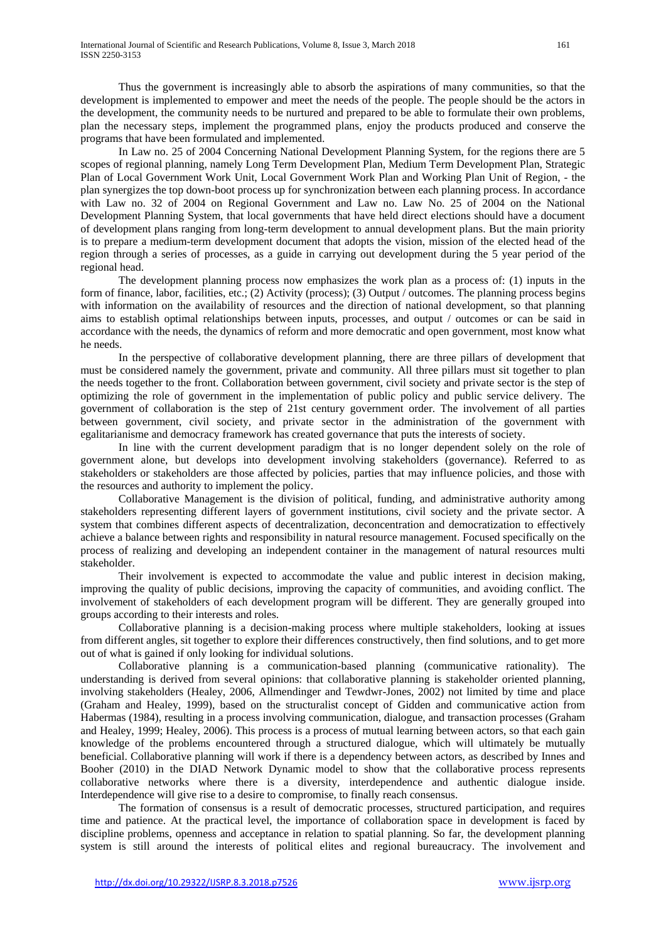Thus the government is increasingly able to absorb the aspirations of many communities, so that the development is implemented to empower and meet the needs of the people. The people should be the actors in the development, the community needs to be nurtured and prepared to be able to formulate their own problems, plan the necessary steps, implement the programmed plans, enjoy the products produced and conserve the programs that have been formulated and implemented.

In Law no. 25 of 2004 Concerning National Development Planning System, for the regions there are 5 scopes of regional planning, namely Long Term Development Plan, Medium Term Development Plan, Strategic Plan of Local Government Work Unit, Local Government Work Plan and Working Plan Unit of Region, - the plan synergizes the top down-boot process up for synchronization between each planning process. In accordance with Law no. 32 of 2004 on Regional Government and Law no. Law No. 25 of 2004 on the National Development Planning System, that local governments that have held direct elections should have a document of development plans ranging from long-term development to annual development plans. But the main priority is to prepare a medium-term development document that adopts the vision, mission of the elected head of the region through a series of processes, as a guide in carrying out development during the 5 year period of the regional head.

The development planning process now emphasizes the work plan as a process of: (1) inputs in the form of finance, labor, facilities, etc.; (2) Activity (process); (3) Output / outcomes. The planning process begins with information on the availability of resources and the direction of national development, so that planning aims to establish optimal relationships between inputs, processes, and output / outcomes or can be said in accordance with the needs, the dynamics of reform and more democratic and open government, most know what he needs.

In the perspective of collaborative development planning, there are three pillars of development that must be considered namely the government, private and community. All three pillars must sit together to plan the needs together to the front. Collaboration between government, civil society and private sector is the step of optimizing the role of government in the implementation of public policy and public service delivery. The government of collaboration is the step of 21st century government order. The involvement of all parties between government, civil society, and private sector in the administration of the government with egalitarianisme and democracy framework has created governance that puts the interests of society.

In line with the current development paradigm that is no longer dependent solely on the role of government alone, but develops into development involving stakeholders (governance). Referred to as stakeholders or stakeholders are those affected by policies, parties that may influence policies, and those with the resources and authority to implement the policy.

Collaborative Management is the division of political, funding, and administrative authority among stakeholders representing different layers of government institutions, civil society and the private sector. A system that combines different aspects of decentralization, deconcentration and democratization to effectively achieve a balance between rights and responsibility in natural resource management. Focused specifically on the process of realizing and developing an independent container in the management of natural resources multi stakeholder.

Their involvement is expected to accommodate the value and public interest in decision making, improving the quality of public decisions, improving the capacity of communities, and avoiding conflict. The involvement of stakeholders of each development program will be different. They are generally grouped into groups according to their interests and roles.

Collaborative planning is a decision-making process where multiple stakeholders, looking at issues from different angles, sit together to explore their differences constructively, then find solutions, and to get more out of what is gained if only looking for individual solutions.

Collaborative planning is a communication-based planning (communicative rationality). The understanding is derived from several opinions: that collaborative planning is stakeholder oriented planning, involving stakeholders (Healey, 2006, Allmendinger and Tewdwr-Jones, 2002) not limited by time and place (Graham and Healey, 1999), based on the structuralist concept of Gidden and communicative action from Habermas (1984), resulting in a process involving communication, dialogue, and transaction processes (Graham and Healey, 1999; Healey, 2006). This process is a process of mutual learning between actors, so that each gain knowledge of the problems encountered through a structured dialogue, which will ultimately be mutually beneficial. Collaborative planning will work if there is a dependency between actors, as described by Innes and Booher (2010) in the DIAD Network Dynamic model to show that the collaborative process represents collaborative networks where there is a diversity, interdependence and authentic dialogue inside. Interdependence will give rise to a desire to compromise, to finally reach consensus.

The formation of consensus is a result of democratic processes, structured participation, and requires time and patience. At the practical level, the importance of collaboration space in development is faced by discipline problems, openness and acceptance in relation to spatial planning. So far, the development planning system is still around the interests of political elites and regional bureaucracy. The involvement and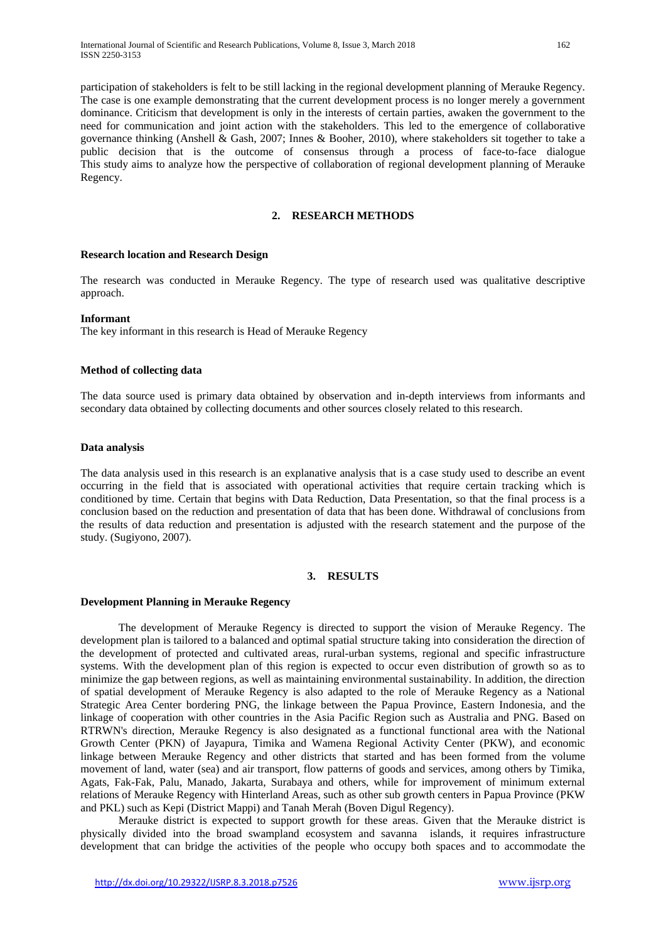participation of stakeholders is felt to be still lacking in the regional development planning of Merauke Regency. The case is one example demonstrating that the current development process is no longer merely a government dominance. Criticism that development is only in the interests of certain parties, awaken the government to the need for communication and joint action with the stakeholders. This led to the emergence of collaborative governance thinking (Anshell & Gash, 2007; Innes & Booher, 2010), where stakeholders sit together to take a public decision that is the outcome of consensus through a process of face-to-face dialogue This study aims to analyze how the perspective of collaboration of regional development planning of Merauke Regency.

## **2. RESEARCH METHODS**

## **Research location and Research Design**

The research was conducted in Merauke Regency. The type of research used was qualitative descriptive approach.

## **Informant**

The key informant in this research is Head of Merauke Regency

## **Method of collecting data**

The data source used is primary data obtained by observation and in-depth interviews from informants and secondary data obtained by collecting documents and other sources closely related to this research.

## **Data analysis**

The data analysis used in this research is an explanative analysis that is a case study used to describe an event occurring in the field that is associated with operational activities that require certain tracking which is conditioned by time. Certain that begins with Data Reduction, Data Presentation, so that the final process is a conclusion based on the reduction and presentation of data that has been done. Withdrawal of conclusions from the results of data reduction and presentation is adjusted with the research statement and the purpose of the study. (Sugiyono, 2007).

# **3. RESULTS**

## **Development Planning in Merauke Regency**

The development of Merauke Regency is directed to support the vision of Merauke Regency. The development plan is tailored to a balanced and optimal spatial structure taking into consideration the direction of the development of protected and cultivated areas, rural-urban systems, regional and specific infrastructure systems. With the development plan of this region is expected to occur even distribution of growth so as to minimize the gap between regions, as well as maintaining environmental sustainability. In addition, the direction of spatial development of Merauke Regency is also adapted to the role of Merauke Regency as a National Strategic Area Center bordering PNG, the linkage between the Papua Province, Eastern Indonesia, and the linkage of cooperation with other countries in the Asia Pacific Region such as Australia and PNG. Based on RTRWN's direction, Merauke Regency is also designated as a functional functional area with the National Growth Center (PKN) of Jayapura, Timika and Wamena Regional Activity Center (PKW), and economic linkage between Merauke Regency and other districts that started and has been formed from the volume movement of land, water (sea) and air transport, flow patterns of goods and services, among others by Timika, Agats, Fak-Fak, Palu, Manado, Jakarta, Surabaya and others, while for improvement of minimum external relations of Merauke Regency with Hinterland Areas, such as other sub growth centers in Papua Province (PKW and PKL) such as Kepi (District Mappi) and Tanah Merah (Boven Digul Regency).

Merauke district is expected to support growth for these areas. Given that the Merauke district is physically divided into the broad swampland ecosystem and savanna islands, it requires infrastructure development that can bridge the activities of the people who occupy both spaces and to accommodate the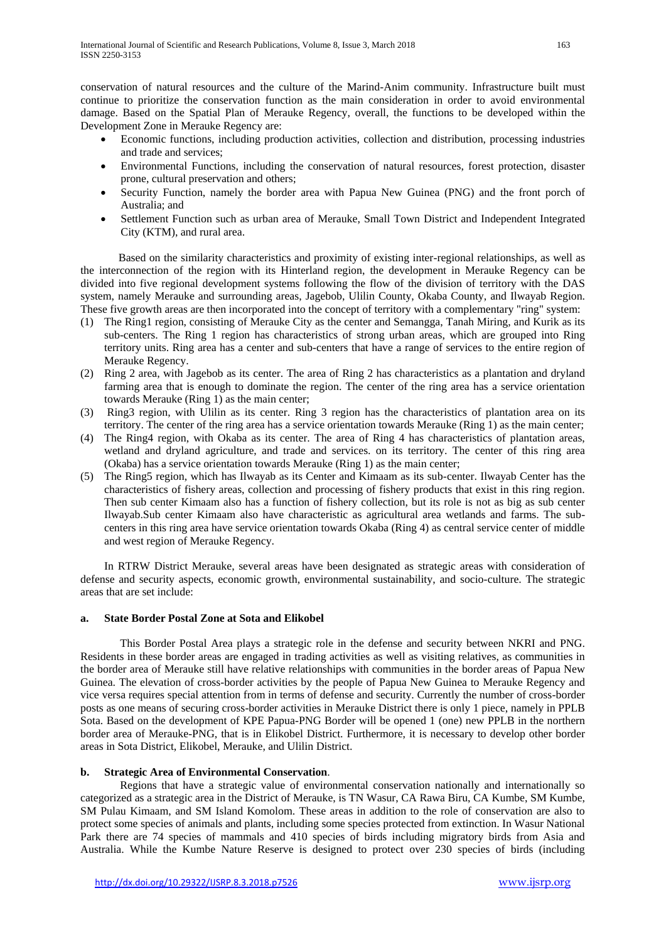conservation of natural resources and the culture of the Marind-Anim community. Infrastructure built must continue to prioritize the conservation function as the main consideration in order to avoid environmental damage. Based on the Spatial Plan of Merauke Regency, overall, the functions to be developed within the Development Zone in Merauke Regency are:

- Economic functions, including production activities, collection and distribution, processing industries and trade and services;
- Environmental Functions, including the conservation of natural resources, forest protection, disaster prone, cultural preservation and others;
- Security Function, namely the border area with Papua New Guinea (PNG) and the front porch of Australia; and
- Settlement Function such as urban area of Merauke, Small Town District and Independent Integrated City (KTM), and rural area.

Based on the similarity characteristics and proximity of existing inter-regional relationships, as well as the interconnection of the region with its Hinterland region, the development in Merauke Regency can be divided into five regional development systems following the flow of the division of territory with the DAS system, namely Merauke and surrounding areas, Jagebob, Ulilin County, Okaba County, and Ilwayab Region. These five growth areas are then incorporated into the concept of territory with a complementary "ring" system:

- (1) The Ring1 region, consisting of Merauke City as the center and Semangga, Tanah Miring, and Kurik as its sub-centers. The Ring 1 region has characteristics of strong urban areas, which are grouped into Ring territory units. Ring area has a center and sub-centers that have a range of services to the entire region of Merauke Regency.
- (2) Ring 2 area, with Jagebob as its center. The area of Ring 2 has characteristics as a plantation and dryland farming area that is enough to dominate the region. The center of the ring area has a service orientation towards Merauke (Ring 1) as the main center;
- (3) Ring3 region, with Ulilin as its center. Ring 3 region has the characteristics of plantation area on its territory. The center of the ring area has a service orientation towards Merauke (Ring 1) as the main center;
- (4) The Ring4 region, with Okaba as its center. The area of Ring 4 has characteristics of plantation areas, wetland and dryland agriculture, and trade and services. on its territory. The center of this ring area (Okaba) has a service orientation towards Merauke (Ring 1) as the main center;
- (5) The Ring5 region, which has Ilwayab as its Center and Kimaam as its sub-center. Ilwayab Center has the characteristics of fishery areas, collection and processing of fishery products that exist in this ring region. Then sub center Kimaam also has a function of fishery collection, but its role is not as big as sub center Ilwayab.Sub center Kimaam also have characteristic as agricultural area wetlands and farms. The subcenters in this ring area have service orientation towards Okaba (Ring 4) as central service center of middle and west region of Merauke Regency.

In RTRW District Merauke, several areas have been designated as strategic areas with consideration of defense and security aspects, economic growth, environmental sustainability, and socio-culture. The strategic areas that are set include:

## **a. State Border Postal Zone at Sota and Elikobel**

This Border Postal Area plays a strategic role in the defense and security between NKRI and PNG. Residents in these border areas are engaged in trading activities as well as visiting relatives, as communities in the border area of Merauke still have relative relationships with communities in the border areas of Papua New Guinea. The elevation of cross-border activities by the people of Papua New Guinea to Merauke Regency and vice versa requires special attention from in terms of defense and security. Currently the number of cross-border posts as one means of securing cross-border activities in Merauke District there is only 1 piece, namely in PPLB Sota. Based on the development of KPE Papua-PNG Border will be opened 1 (one) new PPLB in the northern border area of Merauke-PNG, that is in Elikobel District. Furthermore, it is necessary to develop other border areas in Sota District, Elikobel, Merauke, and Ulilin District.

# **b. Strategic Area of Environmental Conservation**.

Regions that have a strategic value of environmental conservation nationally and internationally so categorized as a strategic area in the District of Merauke, is TN Wasur, CA Rawa Biru, CA Kumbe, SM Kumbe, SM Pulau Kimaam, and SM Island Komolom. These areas in addition to the role of conservation are also to protect some species of animals and plants, including some species protected from extinction. In Wasur National Park there are 74 species of mammals and 410 species of birds including migratory birds from Asia and Australia. While the Kumbe Nature Reserve is designed to protect over 230 species of birds (including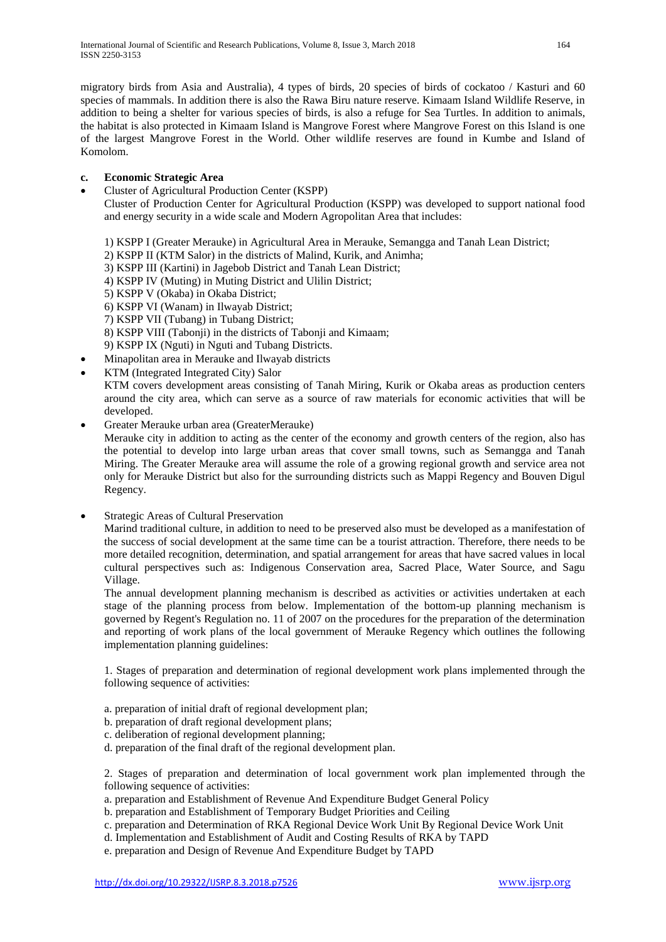migratory birds from Asia and Australia), 4 types of birds, 20 species of birds of cockatoo / Kasturi and 60 species of mammals. In addition there is also the Rawa Biru nature reserve. Kimaam Island Wildlife Reserve, in addition to being a shelter for various species of birds, is also a refuge for Sea Turtles. In addition to animals, the habitat is also protected in Kimaam Island is Mangrove Forest where Mangrove Forest on this Island is one of the largest Mangrove Forest in the World. Other wildlife reserves are found in Kumbe and Island of Komolom.

# **c. Economic Strategic Area**

• Cluster of Agricultural Production Center (KSPP)

Cluster of Production Center for Agricultural Production (KSPP) was developed to support national food and energy security in a wide scale and Modern Agropolitan Area that includes:

- 1) KSPP I (Greater Merauke) in Agricultural Area in Merauke, Semangga and Tanah Lean District;
- 2) KSPP II (KTM Salor) in the districts of Malind, Kurik, and Animha;
- 3) KSPP III (Kartini) in Jagebob District and Tanah Lean District;
- 4) KSPP IV (Muting) in Muting District and Ulilin District;
- 5) KSPP V (Okaba) in Okaba District;
- 6) KSPP VI (Wanam) in Ilwayab District;
- 7) KSPP VII (Tubang) in Tubang District;
- 8) KSPP VIII (Tabonji) in the districts of Tabonji and Kimaam;
- 9) KSPP IX (Nguti) in Nguti and Tubang Districts.
- Minapolitan area in Merauke and Ilwayab districts
- KTM (Integrated Integrated City) Salor

KTM covers development areas consisting of Tanah Miring, Kurik or Okaba areas as production centers around the city area, which can serve as a source of raw materials for economic activities that will be developed.

• Greater Merauke urban area (GreaterMerauke)

Merauke city in addition to acting as the center of the economy and growth centers of the region, also has the potential to develop into large urban areas that cover small towns, such as Semangga and Tanah Miring. The Greater Merauke area will assume the role of a growing regional growth and service area not only for Merauke District but also for the surrounding districts such as Mappi Regency and Bouven Digul Regency.

• Strategic Areas of Cultural Preservation

Marind traditional culture, in addition to need to be preserved also must be developed as a manifestation of the success of social development at the same time can be a tourist attraction. Therefore, there needs to be more detailed recognition, determination, and spatial arrangement for areas that have sacred values in local cultural perspectives such as: Indigenous Conservation area, Sacred Place, Water Source, and Sagu Village.

The annual development planning mechanism is described as activities or activities undertaken at each stage of the planning process from below. Implementation of the bottom-up planning mechanism is governed by Regent's Regulation no. 11 of 2007 on the procedures for the preparation of the determination and reporting of work plans of the local government of Merauke Regency which outlines the following implementation planning guidelines:

1. Stages of preparation and determination of regional development work plans implemented through the following sequence of activities:

- a. preparation of initial draft of regional development plan;
- b. preparation of draft regional development plans;
- c. deliberation of regional development planning;
- d. preparation of the final draft of the regional development plan.

2. Stages of preparation and determination of local government work plan implemented through the following sequence of activities:

- a. preparation and Establishment of Revenue And Expenditure Budget General Policy
- b. preparation and Establishment of Temporary Budget Priorities and Ceiling
- c. preparation and Determination of RKA Regional Device Work Unit By Regional Device Work Unit
- d. Implementation and Establishment of Audit and Costing Results of RKA by TAPD
- e. preparation and Design of Revenue And Expenditure Budget by TAPD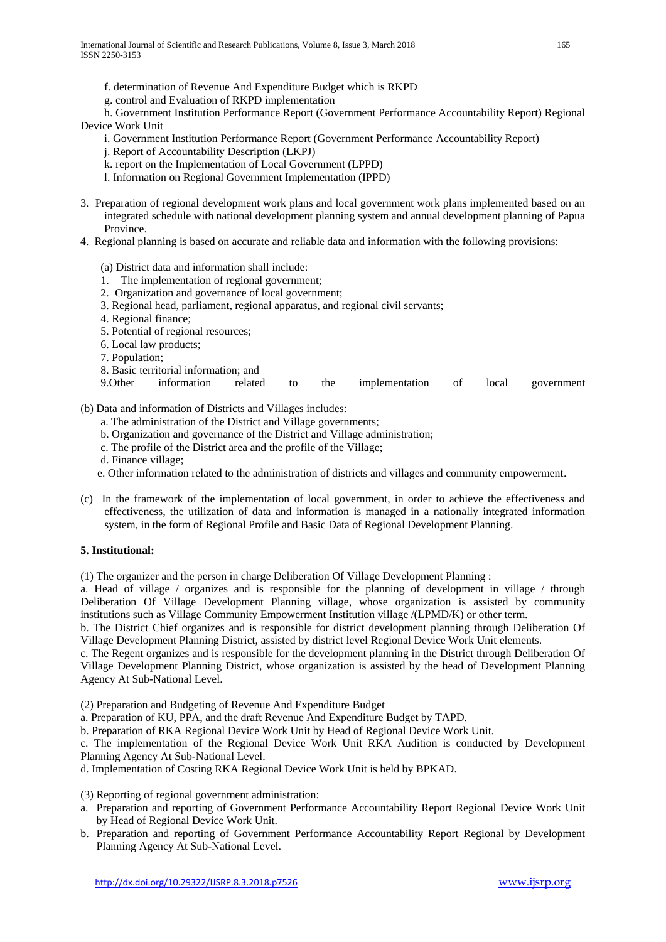- f. determination of Revenue And Expenditure Budget which is RKPD
- g. control and Evaluation of RKPD implementation

h. Government Institution Performance Report (Government Performance Accountability Report) Regional Device Work Unit

- i. Government Institution Performance Report (Government Performance Accountability Report)
- j. Report of Accountability Description (LKPJ)
- k. report on the Implementation of Local Government (LPPD)
- l. Information on Regional Government Implementation (IPPD)
- 3. Preparation of regional development work plans and local government work plans implemented based on an integrated schedule with national development planning system and annual development planning of Papua Province.
- 4. Regional planning is based on accurate and reliable data and information with the following provisions:
	- (a) District data and information shall include:
	- 1. The implementation of regional government;
	- 2. Organization and governance of local government;
	- 3. Regional head, parliament, regional apparatus, and regional civil servants;
	- 4. Regional finance;
	- 5. Potential of regional resources;
	- 6. Local law products;
	- 7. Population;
	- 8. Basic territorial information; and
	- 9.Other information related to the implementation of local government

(b) Data and information of Districts and Villages includes:

- a. The administration of the District and Village governments;
- b. Organization and governance of the District and Village administration;
- c. The profile of the District area and the profile of the Village;
- d. Finance village;
- e. Other information related to the administration of districts and villages and community empowerment.
- (c) In the framework of the implementation of local government, in order to achieve the effectiveness and effectiveness, the utilization of data and information is managed in a nationally integrated information system, in the form of Regional Profile and Basic Data of Regional Development Planning.

# **5. Institutional:**

(1) The organizer and the person in charge Deliberation Of Village Development Planning :

a. Head of village / organizes and is responsible for the planning of development in village / through Deliberation Of Village Development Planning village, whose organization is assisted by community institutions such as Village Community Empowerment Institution village /(LPMD/K) or other term.

b. The District Chief organizes and is responsible for district development planning through Deliberation Of Village Development Planning District, assisted by district level Regional Device Work Unit elements.

c. The Regent organizes and is responsible for the development planning in the District through Deliberation Of Village Development Planning District, whose organization is assisted by the head of Development Planning Agency At Sub-National Level.

(2) Preparation and Budgeting of Revenue And Expenditure Budget

a. Preparation of KU, PPA, and the draft Revenue And Expenditure Budget by TAPD.

b. Preparation of RKA Regional Device Work Unit by Head of Regional Device Work Unit.

c. The implementation of the Regional Device Work Unit RKA Audition is conducted by Development Planning Agency At Sub-National Level.

d. Implementation of Costing RKA Regional Device Work Unit is held by BPKAD.

(3) Reporting of regional government administration:

- a. Preparation and reporting of Government Performance Accountability Report Regional Device Work Unit by Head of Regional Device Work Unit.
- b. Preparation and reporting of Government Performance Accountability Report Regional by Development Planning Agency At Sub-National Level.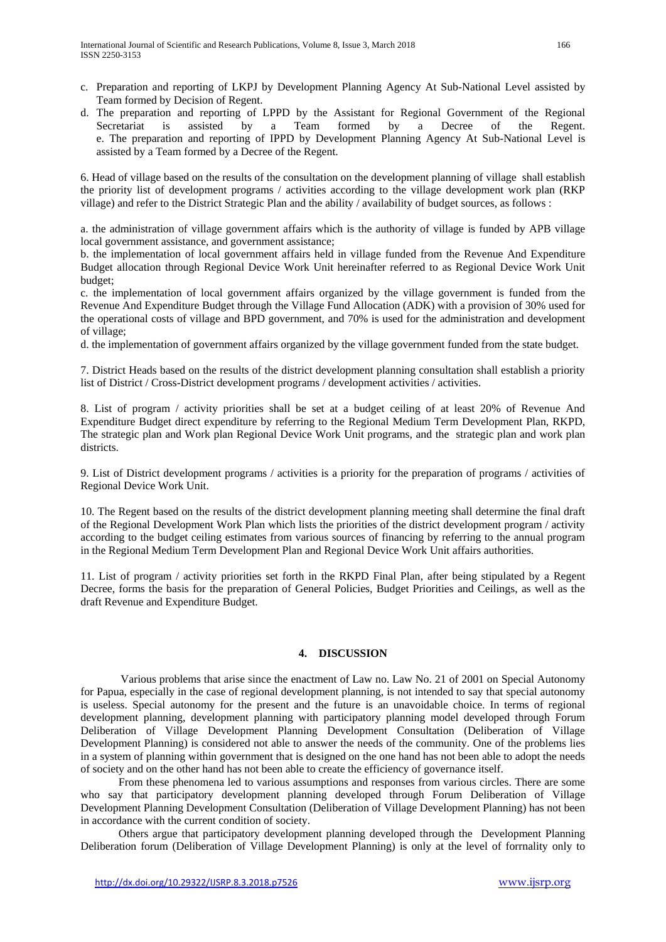- c. Preparation and reporting of LKPJ by Development Planning Agency At Sub-National Level assisted by Team formed by Decision of Regent.
- d. The preparation and reporting of LPPD by the Assistant for Regional Government of the Regional Secretariat is assisted by a Team formed by a Decree of the Regent. e. The preparation and reporting of IPPD by Development Planning Agency At Sub-National Level is assisted by a Team formed by a Decree of the Regent.

6. Head of village based on the results of the consultation on the development planning of village shall establish the priority list of development programs / activities according to the village development work plan (RKP village) and refer to the District Strategic Plan and the ability / availability of budget sources, as follows :

a. the administration of village government affairs which is the authority of village is funded by APB village local government assistance, and government assistance;

b. the implementation of local government affairs held in village funded from the Revenue And Expenditure Budget allocation through Regional Device Work Unit hereinafter referred to as Regional Device Work Unit budget;

c. the implementation of local government affairs organized by the village government is funded from the Revenue And Expenditure Budget through the Village Fund Allocation (ADK) with a provision of 30% used for the operational costs of village and BPD government, and 70% is used for the administration and development of village;

d. the implementation of government affairs organized by the village government funded from the state budget.

7. District Heads based on the results of the district development planning consultation shall establish a priority list of District / Cross-District development programs / development activities / activities.

8. List of program / activity priorities shall be set at a budget ceiling of at least 20% of Revenue And Expenditure Budget direct expenditure by referring to the Regional Medium Term Development Plan, RKPD, The strategic plan and Work plan Regional Device Work Unit programs, and the strategic plan and work plan districts.

9. List of District development programs / activities is a priority for the preparation of programs / activities of Regional Device Work Unit.

10. The Regent based on the results of the district development planning meeting shall determine the final draft of the Regional Development Work Plan which lists the priorities of the district development program / activity according to the budget ceiling estimates from various sources of financing by referring to the annual program in the Regional Medium Term Development Plan and Regional Device Work Unit affairs authorities.

11. List of program / activity priorities set forth in the RKPD Final Plan, after being stipulated by a Regent Decree, forms the basis for the preparation of General Policies, Budget Priorities and Ceilings, as well as the draft Revenue and Expenditure Budget.

# **4. DISCUSSION**

Various problems that arise since the enactment of Law no. Law No. 21 of 2001 on Special Autonomy for Papua, especially in the case of regional development planning, is not intended to say that special autonomy is useless. Special autonomy for the present and the future is an unavoidable choice. In terms of regional development planning, development planning with participatory planning model developed through Forum Deliberation of Village Development Planning Development Consultation (Deliberation of Village Development Planning) is considered not able to answer the needs of the community. One of the problems lies in a system of planning within government that is designed on the one hand has not been able to adopt the needs of society and on the other hand has not been able to create the efficiency of governance itself.

From these phenomena led to various assumptions and responses from various circles. There are some who say that participatory development planning developed through Forum Deliberation of Village Development Planning Development Consultation (Deliberation of Village Development Planning) has not been in accordance with the current condition of society.

Others argue that participatory development planning developed through the Development Planning Deliberation forum (Deliberation of Village Development Planning) is only at the level of forrnality only to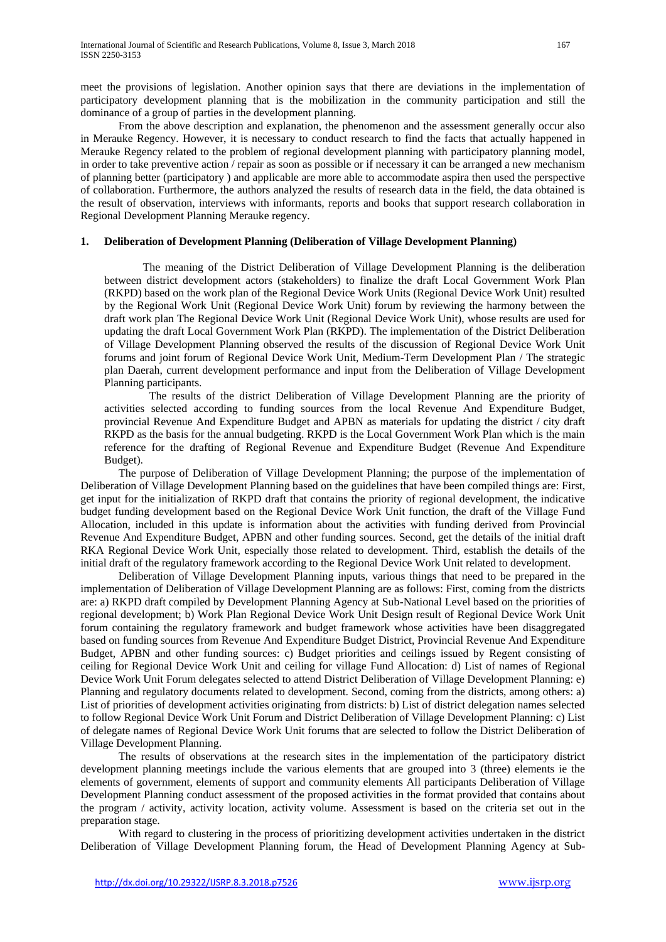meet the provisions of legislation. Another opinion says that there are deviations in the implementation of participatory development planning that is the mobilization in the community participation and still the dominance of a group of parties in the development planning.

From the above description and explanation, the phenomenon and the assessment generally occur also in Merauke Regency. However, it is necessary to conduct research to find the facts that actually happened in Merauke Regency related to the problem of regional development planning with participatory planning model, in order to take preventive action / repair as soon as possible or if necessary it can be arranged a new mechanism of planning better (participatory ) and applicable are more able to accommodate aspira then used the perspective of collaboration. Furthermore, the authors analyzed the results of research data in the field, the data obtained is the result of observation, interviews with informants, reports and books that support research collaboration in Regional Development Planning Merauke regency.

## **1. Deliberation of Development Planning (Deliberation of Village Development Planning)**

 The meaning of the District Deliberation of Village Development Planning is the deliberation between district development actors (stakeholders) to finalize the draft Local Government Work Plan (RKPD) based on the work plan of the Regional Device Work Units (Regional Device Work Unit) resulted by the Regional Work Unit (Regional Device Work Unit) forum by reviewing the harmony between the draft work plan The Regional Device Work Unit (Regional Device Work Unit), whose results are used for updating the draft Local Government Work Plan (RKPD). The implementation of the District Deliberation of Village Development Planning observed the results of the discussion of Regional Device Work Unit forums and joint forum of Regional Device Work Unit, Medium-Term Development Plan / The strategic plan Daerah, current development performance and input from the Deliberation of Village Development Planning participants.

The results of the district Deliberation of Village Development Planning are the priority of activities selected according to funding sources from the local Revenue And Expenditure Budget, provincial Revenue And Expenditure Budget and APBN as materials for updating the district / city draft RKPD as the basis for the annual budgeting. RKPD is the Local Government Work Plan which is the main reference for the drafting of Regional Revenue and Expenditure Budget (Revenue And Expenditure Budget).

The purpose of Deliberation of Village Development Planning; the purpose of the implementation of Deliberation of Village Development Planning based on the guidelines that have been compiled things are: First, get input for the initialization of RKPD draft that contains the priority of regional development, the indicative budget funding development based on the Regional Device Work Unit function, the draft of the Village Fund Allocation, included in this update is information about the activities with funding derived from Provincial Revenue And Expenditure Budget, APBN and other funding sources. Second, get the details of the initial draft RKA Regional Device Work Unit, especially those related to development. Third, establish the details of the initial draft of the regulatory framework according to the Regional Device Work Unit related to development.

Deliberation of Village Development Planning inputs, various things that need to be prepared in the implementation of Deliberation of Village Development Planning are as follows: First, coming from the districts are: a) RKPD draft compiled by Development Planning Agency at Sub-National Level based on the priorities of regional development; b) Work Plan Regional Device Work Unit Design result of Regional Device Work Unit forum containing the regulatory framework and budget framework whose activities have been disaggregated based on funding sources from Revenue And Expenditure Budget District, Provincial Revenue And Expenditure Budget, APBN and other funding sources: c) Budget priorities and ceilings issued by Regent consisting of ceiling for Regional Device Work Unit and ceiling for village Fund Allocation: d) List of names of Regional Device Work Unit Forum delegates selected to attend District Deliberation of Village Development Planning: e) Planning and regulatory documents related to development. Second, coming from the districts, among others: a) List of priorities of development activities originating from districts: b) List of district delegation names selected to follow Regional Device Work Unit Forum and District Deliberation of Village Development Planning: c) List of delegate names of Regional Device Work Unit forums that are selected to follow the District Deliberation of Village Development Planning.

The results of observations at the research sites in the implementation of the participatory district development planning meetings include the various elements that are grouped into 3 (three) elements ie the elements of government, elements of support and community elements All participants Deliberation of Village Development Planning conduct assessment of the proposed activities in the format provided that contains about the program / activity, activity location, activity volume. Assessment is based on the criteria set out in the preparation stage.

With regard to clustering in the process of prioritizing development activities undertaken in the district Deliberation of Village Development Planning forum, the Head of Development Planning Agency at Sub-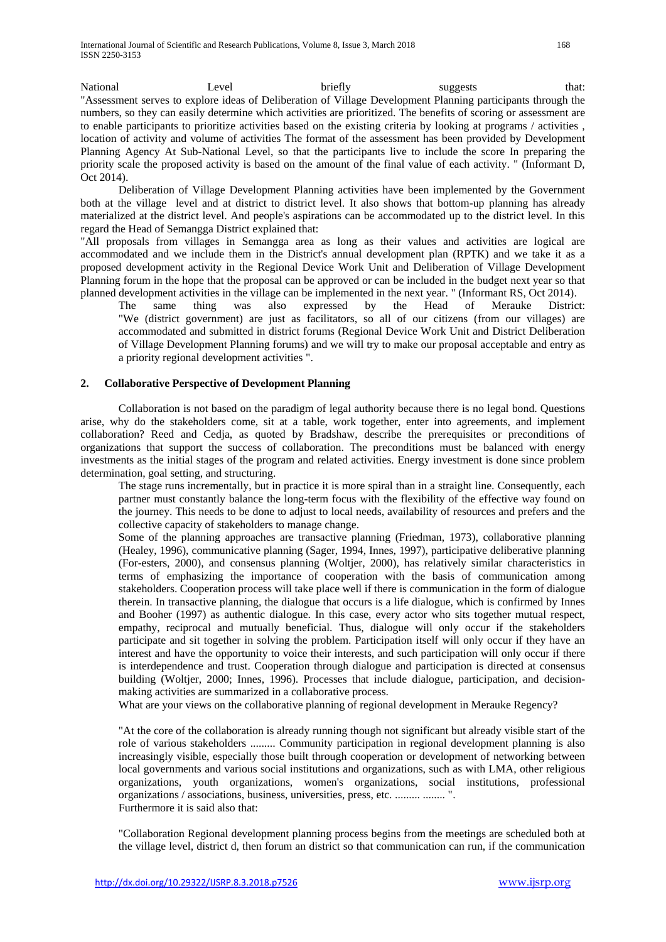National 1988 Level briefly suggests that: "Assessment serves to explore ideas of Deliberation of Village Development Planning participants through the numbers, so they can easily determine which activities are prioritized. The benefits of scoring or assessment are to enable participants to prioritize activities based on the existing criteria by looking at programs / activities , location of activity and volume of activities The format of the assessment has been provided by Development Planning Agency At Sub-National Level, so that the participants live to include the score In preparing the priority scale the proposed activity is based on the amount of the final value of each activity. " (Informant D, Oct 2014).

Deliberation of Village Development Planning activities have been implemented by the Government both at the village level and at district to district level. It also shows that bottom-up planning has already materialized at the district level. And people's aspirations can be accommodated up to the district level. In this regard the Head of Semangga District explained that:

"All proposals from villages in Semangga area as long as their values and activities are logical are accommodated and we include them in the District's annual development plan (RPTK) and we take it as a proposed development activity in the Regional Device Work Unit and Deliberation of Village Development Planning forum in the hope that the proposal can be approved or can be included in the budget next year so that planned development activities in the village can be implemented in the next year. " (Informant RS, Oct 2014).

The same thing was also expressed by the Head of Merauke District: "We (district government) are just as facilitators, so all of our citizens (from our villages) are accommodated and submitted in district forums (Regional Device Work Unit and District Deliberation of Village Development Planning forums) and we will try to make our proposal acceptable and entry as a priority regional development activities ".

# **2. Collaborative Perspective of Development Planning**

Collaboration is not based on the paradigm of legal authority because there is no legal bond. Questions arise, why do the stakeholders come, sit at a table, work together, enter into agreements, and implement collaboration? Reed and Cedja, as quoted by Bradshaw, describe the prerequisites or preconditions of organizations that support the success of collaboration. The preconditions must be balanced with energy investments as the initial stages of the program and related activities. Energy investment is done since problem determination, goal setting, and structuring.

The stage runs incrementally, but in practice it is more spiral than in a straight line. Consequently, each partner must constantly balance the long-term focus with the flexibility of the effective way found on the journey. This needs to be done to adjust to local needs, availability of resources and prefers and the collective capacity of stakeholders to manage change.

Some of the planning approaches are transactive planning (Friedman, 1973), collaborative planning (Healey, 1996), communicative planning (Sager, 1994, Innes, 1997), participative deliberative planning (For-esters, 2000), and consensus planning (Woltjer, 2000), has relatively similar characteristics in terms of emphasizing the importance of cooperation with the basis of communication among stakeholders. Cooperation process will take place well if there is communication in the form of dialogue therein. In transactive planning, the dialogue that occurs is a life dialogue, which is confirmed by Innes and Booher (1997) as authentic dialogue. In this case, every actor who sits together mutual respect, empathy, reciprocal and mutually beneficial. Thus, dialogue will only occur if the stakeholders participate and sit together in solving the problem. Participation itself will only occur if they have an interest and have the opportunity to voice their interests, and such participation will only occur if there is interdependence and trust. Cooperation through dialogue and participation is directed at consensus building (Woltjer, 2000; Innes, 1996). Processes that include dialogue, participation, and decisionmaking activities are summarized in a collaborative process.

What are your views on the collaborative planning of regional development in Merauke Regency?

"At the core of the collaboration is already running though not significant but already visible start of the role of various stakeholders ......... Community participation in regional development planning is also increasingly visible, especially those built through cooperation or development of networking between local governments and various social institutions and organizations, such as with LMA, other religious organizations, youth organizations, women's organizations, social institutions, professional organizations / associations, business, universities, press, etc. ......... ........ ". Furthermore it is said also that:

"Collaboration Regional development planning process begins from the meetings are scheduled both at the village level, district d, then forum an district so that communication can run, if the communication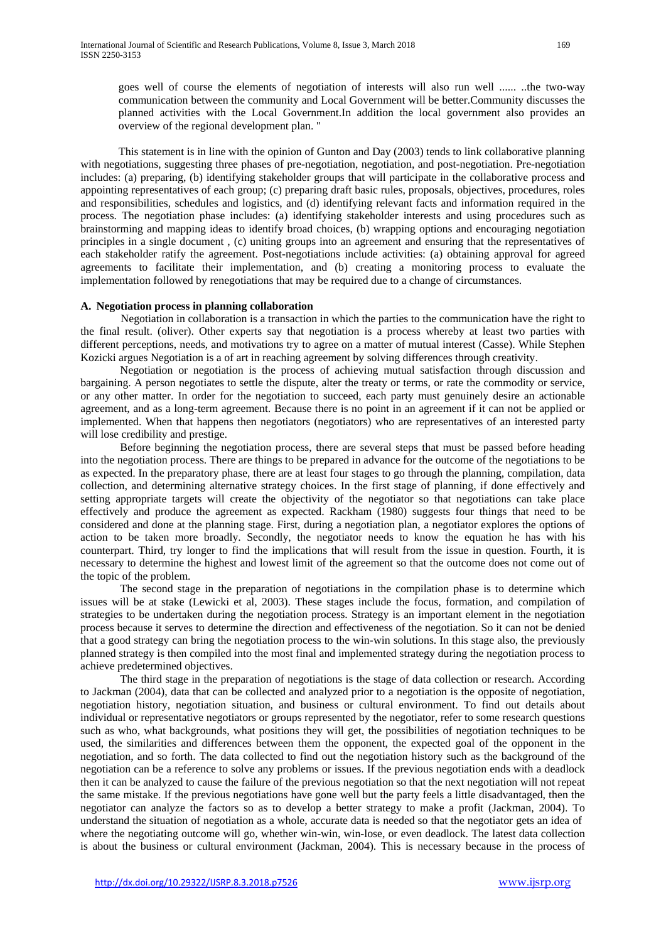goes well of course the elements of negotiation of interests will also run well ...... ..the two-way communication between the community and Local Government will be better.Community discusses the planned activities with the Local Government.In addition the local government also provides an overview of the regional development plan. "

This statement is in line with the opinion of Gunton and Day (2003) tends to link collaborative planning with negotiations, suggesting three phases of pre-negotiation, negotiation, and post-negotiation. Pre-negotiation includes: (a) preparing, (b) identifying stakeholder groups that will participate in the collaborative process and appointing representatives of each group; (c) preparing draft basic rules, proposals, objectives, procedures, roles and responsibilities, schedules and logistics, and (d) identifying relevant facts and information required in the process. The negotiation phase includes: (a) identifying stakeholder interests and using procedures such as brainstorming and mapping ideas to identify broad choices, (b) wrapping options and encouraging negotiation principles in a single document , (c) uniting groups into an agreement and ensuring that the representatives of each stakeholder ratify the agreement. Post-negotiations include activities: (a) obtaining approval for agreed agreements to facilitate their implementation, and (b) creating a monitoring process to evaluate the implementation followed by renegotiations that may be required due to a change of circumstances.

## **A. Negotiation process in planning collaboration**

Negotiation in collaboration is a transaction in which the parties to the communication have the right to the final result. (oliver). Other experts say that negotiation is a process whereby at least two parties with different perceptions, needs, and motivations try to agree on a matter of mutual interest (Casse). While Stephen Kozicki argues Negotiation is a of art in reaching agreement by solving differences through creativity.

Negotiation or negotiation is the process of achieving mutual satisfaction through discussion and bargaining. A person negotiates to settle the dispute, alter the treaty or terms, or rate the commodity or service, or any other matter. In order for the negotiation to succeed, each party must genuinely desire an actionable agreement, and as a long-term agreement. Because there is no point in an agreement if it can not be applied or implemented. When that happens then negotiators (negotiators) who are representatives of an interested party will lose credibility and prestige.

Before beginning the negotiation process, there are several steps that must be passed before heading into the negotiation process. There are things to be prepared in advance for the outcome of the negotiations to be as expected. In the preparatory phase, there are at least four stages to go through the planning, compilation, data collection, and determining alternative strategy choices. In the first stage of planning, if done effectively and setting appropriate targets will create the objectivity of the negotiator so that negotiations can take place effectively and produce the agreement as expected. Rackham (1980) suggests four things that need to be considered and done at the planning stage. First, during a negotiation plan, a negotiator explores the options of action to be taken more broadly. Secondly, the negotiator needs to know the equation he has with his counterpart. Third, try longer to find the implications that will result from the issue in question. Fourth, it is necessary to determine the highest and lowest limit of the agreement so that the outcome does not come out of the topic of the problem.

The second stage in the preparation of negotiations in the compilation phase is to determine which issues will be at stake (Lewicki et al, 2003). These stages include the focus, formation, and compilation of strategies to be undertaken during the negotiation process. Strategy is an important element in the negotiation process because it serves to determine the direction and effectiveness of the negotiation. So it can not be denied that a good strategy can bring the negotiation process to the win-win solutions. In this stage also, the previously planned strategy is then compiled into the most final and implemented strategy during the negotiation process to achieve predetermined objectives.

The third stage in the preparation of negotiations is the stage of data collection or research. According to Jackman (2004), data that can be collected and analyzed prior to a negotiation is the opposite of negotiation, negotiation history, negotiation situation, and business or cultural environment. To find out details about individual or representative negotiators or groups represented by the negotiator, refer to some research questions such as who, what backgrounds, what positions they will get, the possibilities of negotiation techniques to be used, the similarities and differences between them the opponent, the expected goal of the opponent in the negotiation, and so forth. The data collected to find out the negotiation history such as the background of the negotiation can be a reference to solve any problems or issues. If the previous negotiation ends with a deadlock then it can be analyzed to cause the failure of the previous negotiation so that the next negotiation will not repeat the same mistake. If the previous negotiations have gone well but the party feels a little disadvantaged, then the negotiator can analyze the factors so as to develop a better strategy to make a profit (Jackman, 2004). To understand the situation of negotiation as a whole, accurate data is needed so that the negotiator gets an idea of where the negotiating outcome will go, whether win-win, win-lose, or even deadlock. The latest data collection is about the business or cultural environment (Jackman, 2004). This is necessary because in the process of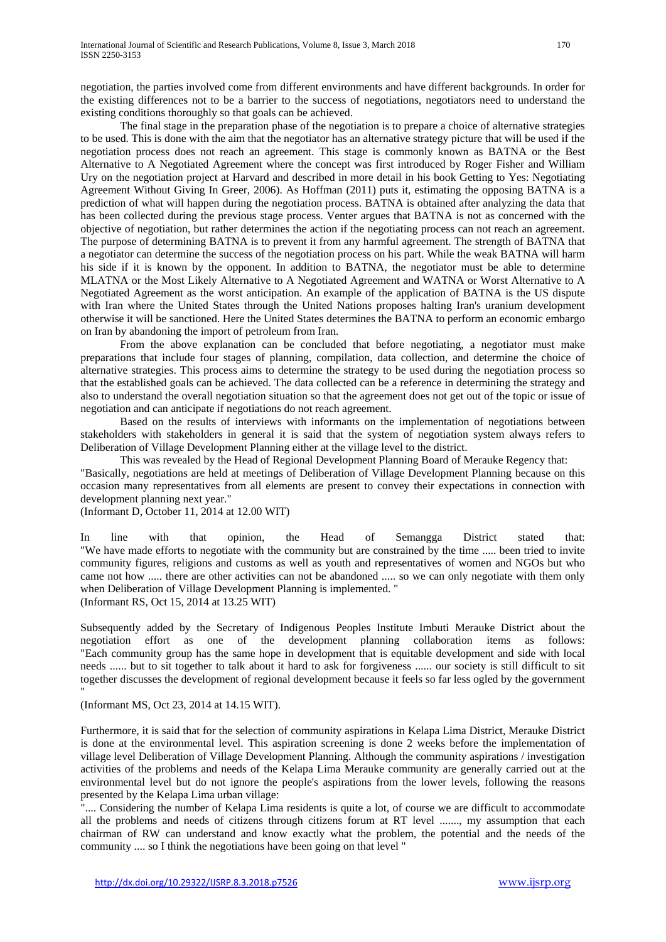negotiation, the parties involved come from different environments and have different backgrounds. In order for the existing differences not to be a barrier to the success of negotiations, negotiators need to understand the existing conditions thoroughly so that goals can be achieved.

The final stage in the preparation phase of the negotiation is to prepare a choice of alternative strategies to be used. This is done with the aim that the negotiator has an alternative strategy picture that will be used if the negotiation process does not reach an agreement. This stage is commonly known as BATNA or the Best Alternative to A Negotiated Agreement where the concept was first introduced by Roger Fisher and William Ury on the negotiation project at Harvard and described in more detail in his book Getting to Yes: Negotiating Agreement Without Giving In Greer, 2006). As Hoffman (2011) puts it, estimating the opposing BATNA is a prediction of what will happen during the negotiation process. BATNA is obtained after analyzing the data that has been collected during the previous stage process. Venter argues that BATNA is not as concerned with the objective of negotiation, but rather determines the action if the negotiating process can not reach an agreement. The purpose of determining BATNA is to prevent it from any harmful agreement. The strength of BATNA that a negotiator can determine the success of the negotiation process on his part. While the weak BATNA will harm his side if it is known by the opponent. In addition to BATNA, the negotiator must be able to determine MLATNA or the Most Likely Alternative to A Negotiated Agreement and WATNA or Worst Alternative to A Negotiated Agreement as the worst anticipation. An example of the application of BATNA is the US dispute with Iran where the United States through the United Nations proposes halting Iran's uranium development otherwise it will be sanctioned. Here the United States determines the BATNA to perform an economic embargo on Iran by abandoning the import of petroleum from Iran.

From the above explanation can be concluded that before negotiating, a negotiator must make preparations that include four stages of planning, compilation, data collection, and determine the choice of alternative strategies. This process aims to determine the strategy to be used during the negotiation process so that the established goals can be achieved. The data collected can be a reference in determining the strategy and also to understand the overall negotiation situation so that the agreement does not get out of the topic or issue of negotiation and can anticipate if negotiations do not reach agreement.

Based on the results of interviews with informants on the implementation of negotiations between stakeholders with stakeholders in general it is said that the system of negotiation system always refers to Deliberation of Village Development Planning either at the village level to the district.

This was revealed by the Head of Regional Development Planning Board of Merauke Regency that:

"Basically, negotiations are held at meetings of Deliberation of Village Development Planning because on this occasion many representatives from all elements are present to convey their expectations in connection with development planning next year."

(Informant D, October 11, 2014 at 12.00 WIT)

In line with that opinion, the Head of Semangga District stated that: "We have made efforts to negotiate with the community but are constrained by the time ..... been tried to invite community figures, religions and customs as well as youth and representatives of women and NGOs but who came not how ..... there are other activities can not be abandoned ..... so we can only negotiate with them only when Deliberation of Village Development Planning is implemented. " (Informant RS, Oct 15, 2014 at 13.25 WIT)

Subsequently added by the Secretary of Indigenous Peoples Institute Imbuti Merauke District about the negotiation effort as one of the development planning collaboration items as follows: "Each community group has the same hope in development that is equitable development and side with local needs ...... but to sit together to talk about it hard to ask for forgiveness ...... our society is still difficult to sit together discusses the development of regional development because it feels so far less ogled by the government "

(Informant MS, Oct 23, 2014 at 14.15 WIT).

Furthermore, it is said that for the selection of community aspirations in Kelapa Lima District, Merauke District is done at the environmental level. This aspiration screening is done 2 weeks before the implementation of village level Deliberation of Village Development Planning. Although the community aspirations / investigation activities of the problems and needs of the Kelapa Lima Merauke community are generally carried out at the environmental level but do not ignore the people's aspirations from the lower levels, following the reasons presented by the Kelapa Lima urban village:

".... Considering the number of Kelapa Lima residents is quite a lot, of course we are difficult to accommodate all the problems and needs of citizens through citizens forum at RT level ......., my assumption that each chairman of RW can understand and know exactly what the problem, the potential and the needs of the community .... so I think the negotiations have been going on that level "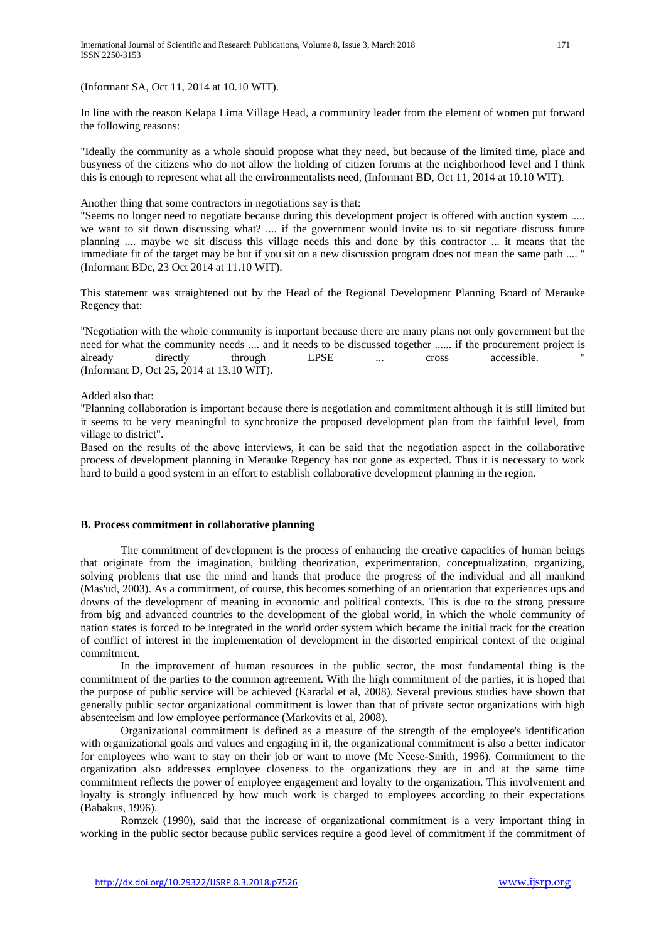(Informant SA, Oct 11, 2014 at 10.10 WIT).

In line with the reason Kelapa Lima Village Head, a community leader from the element of women put forward the following reasons:

"Ideally the community as a whole should propose what they need, but because of the limited time, place and busyness of the citizens who do not allow the holding of citizen forums at the neighborhood level and I think this is enough to represent what all the environmentalists need, (Informant BD, Oct 11, 2014 at 10.10 WIT).

Another thing that some contractors in negotiations say is that:

"Seems no longer need to negotiate because during this development project is offered with auction system ..... we want to sit down discussing what? .... if the government would invite us to sit negotiate discuss future planning .... maybe we sit discuss this village needs this and done by this contractor ... it means that the immediate fit of the target may be but if you sit on a new discussion program does not mean the same path .... " (Informant BDc, 23 Oct 2014 at 11.10 WIT).

This statement was straightened out by the Head of the Regional Development Planning Board of Merauke Regency that:

"Negotiation with the whole community is important because there are many plans not only government but the need for what the community needs .... and it needs to be discussed together ...... if the procurement project is already directly through LPSE ... cross accessible. " (Informant D, Oct 25, 2014 at 13.10 WIT).

Added also that:

"Planning collaboration is important because there is negotiation and commitment although it is still limited but it seems to be very meaningful to synchronize the proposed development plan from the faithful level, from village to district".

Based on the results of the above interviews, it can be said that the negotiation aspect in the collaborative process of development planning in Merauke Regency has not gone as expected. Thus it is necessary to work hard to build a good system in an effort to establish collaborative development planning in the region.

## **B. Process commitment in collaborative planning**

The commitment of development is the process of enhancing the creative capacities of human beings that originate from the imagination, building theorization, experimentation, conceptualization, organizing, solving problems that use the mind and hands that produce the progress of the individual and all mankind (Mas'ud, 2003). As a commitment, of course, this becomes something of an orientation that experiences ups and downs of the development of meaning in economic and political contexts. This is due to the strong pressure from big and advanced countries to the development of the global world, in which the whole community of nation states is forced to be integrated in the world order system which became the initial track for the creation of conflict of interest in the implementation of development in the distorted empirical context of the original commitment.

In the improvement of human resources in the public sector, the most fundamental thing is the commitment of the parties to the common agreement. With the high commitment of the parties, it is hoped that the purpose of public service will be achieved (Karadal et al, 2008). Several previous studies have shown that generally public sector organizational commitment is lower than that of private sector organizations with high absenteeism and low employee performance (Markovits et al, 2008).

Organizational commitment is defined as a measure of the strength of the employee's identification with organizational goals and values and engaging in it, the organizational commitment is also a better indicator for employees who want to stay on their job or want to move (Mc Neese-Smith, 1996). Commitment to the organization also addresses employee closeness to the organizations they are in and at the same time commitment reflects the power of employee engagement and loyalty to the organization. This involvement and loyalty is strongly influenced by how much work is charged to employees according to their expectations (Babakus, 1996).

Romzek (1990), said that the increase of organizational commitment is a very important thing in working in the public sector because public services require a good level of commitment if the commitment of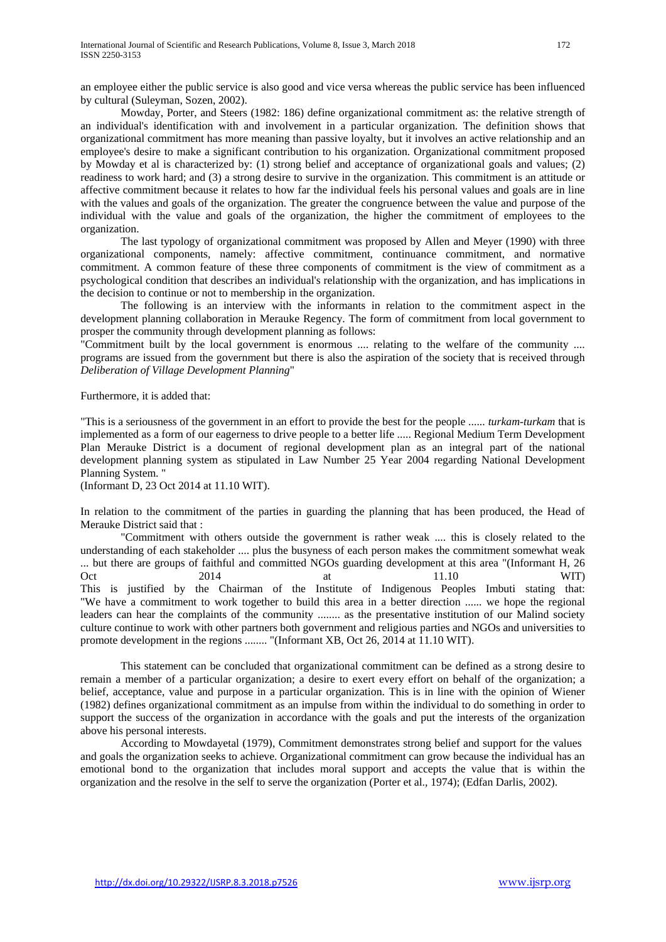Mowday, Porter, and Steers (1982: 186) define organizational commitment as: the relative strength of an individual's identification with and involvement in a particular organization. The definition shows that organizational commitment has more meaning than passive loyalty, but it involves an active relationship and an employee's desire to make a significant contribution to his organization. Organizational commitment proposed by Mowday et al is characterized by: (1) strong belief and acceptance of organizational goals and values; (2) readiness to work hard; and (3) a strong desire to survive in the organization. This commitment is an attitude or affective commitment because it relates to how far the individual feels his personal values and goals are in line with the values and goals of the organization. The greater the congruence between the value and purpose of the individual with the value and goals of the organization, the higher the commitment of employees to the organization.

The last typology of organizational commitment was proposed by Allen and Meyer (1990) with three organizational components, namely: affective commitment, continuance commitment, and normative commitment. A common feature of these three components of commitment is the view of commitment as a psychological condition that describes an individual's relationship with the organization, and has implications in the decision to continue or not to membership in the organization.

The following is an interview with the informants in relation to the commitment aspect in the development planning collaboration in Merauke Regency. The form of commitment from local government to prosper the community through development planning as follows:

"Commitment built by the local government is enormous .... relating to the welfare of the community .... programs are issued from the government but there is also the aspiration of the society that is received through *Deliberation of Village Development Planning*"

Furthermore, it is added that:

"This is a seriousness of the government in an effort to provide the best for the people ...... *turkam-turkam* that is implemented as a form of our eagerness to drive people to a better life ..... Regional Medium Term Development Plan Merauke District is a document of regional development plan as an integral part of the national development planning system as stipulated in Law Number 25 Year 2004 regarding National Development Planning System. "

(Informant D, 23 Oct 2014 at 11.10 WIT).

In relation to the commitment of the parties in guarding the planning that has been produced, the Head of Merauke District said that :

"Commitment with others outside the government is rather weak .... this is closely related to the understanding of each stakeholder .... plus the busyness of each person makes the commitment somewhat weak ... but there are groups of faithful and committed NGOs guarding development at this area "(Informant H, 26 Oct 2014 at 11.10 WIT) This is justified by the Chairman of the Institute of Indigenous Peoples Imbuti stating that: "We have a commitment to work together to build this area in a better direction ...... we hope the regional leaders can hear the complaints of the community ........ as the presentative institution of our Malind society culture continue to work with other partners both government and religious parties and NGOs and universities to promote development in the regions ........ "(Informant XB, Oct 26, 2014 at 11.10 WIT).

This statement can be concluded that organizational commitment can be defined as a strong desire to remain a member of a particular organization; a desire to exert every effort on behalf of the organization; a belief, acceptance, value and purpose in a particular organization. This is in line with the opinion of Wiener (1982) defines organizational commitment as an impulse from within the individual to do something in order to support the success of the organization in accordance with the goals and put the interests of the organization above his personal interests.

According to Mowdayetal (1979), Commitment demonstrates strong belief and support for the values and goals the organization seeks to achieve. Organizational commitment can grow because the individual has an emotional bond to the organization that includes moral support and accepts the value that is within the organization and the resolve in the self to serve the organization (Porter et al., 1974); (Edfan Darlis, 2002).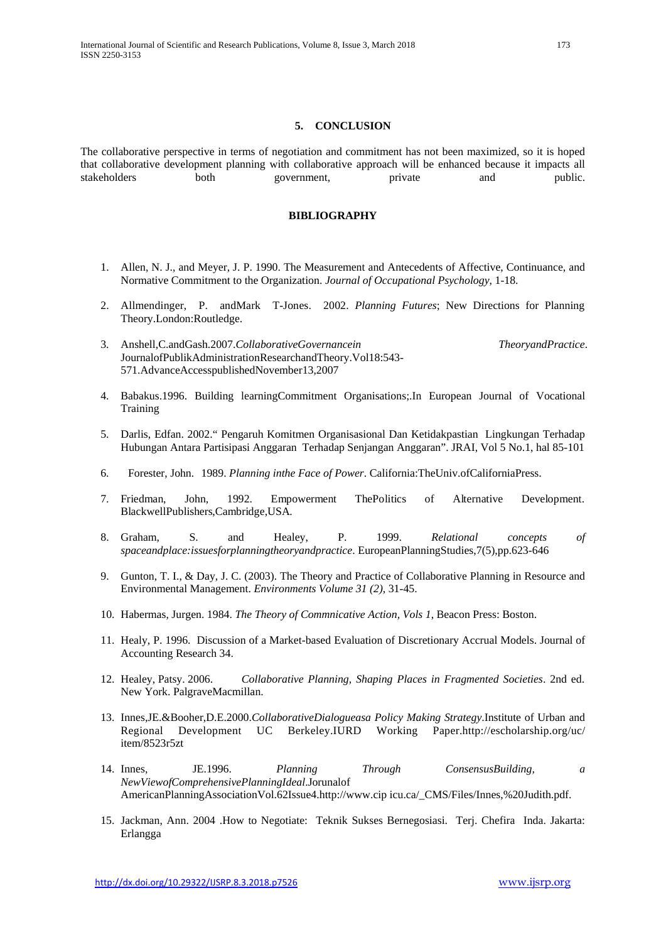## **5. CONCLUSION**

The collaborative perspective in terms of negotiation and commitment has not been maximized, so it is hoped that collaborative development planning with collaborative approach will be enhanced because it impacts all stakeholders both government, private and public.

## **BIBLIOGRAPHY**

- 1. Allen, N. J., and Meyer, J. P. 1990. The Measurement and Antecedents of Affective, Continuance, and Normative Commitment to the Organization. *Journal of Occupational Psychology*, 1-18.
- 2. Allmendinger, P. andMark T-Jones. 2002. *Planning Futures*; New Directions for Planning Theory.London:Routledge.
- 3. Anshell,C.andGash.2007.*CollaborativeGovernancein TheoryandPractice*. JournalofPublikAdministrationResearchandTheory.Vol18:543- 571.AdvanceAccesspublishedNovember13,2007
- 4. Babakus.1996. Building learningCommitment Organisations;.In European Journal of Vocational **Training**
- 5. Darlis, Edfan. 2002." Pengaruh Komitmen Organisasional Dan Ketidakpastian Lingkungan Terhadap Hubungan Antara Partisipasi Anggaran Terhadap Senjangan Anggaran". JRAI, Vol 5 No.1, hal 85-101
- 6. Forester, John. 1989. *Planning inthe Face of Power*. California:TheUniv.ofCaliforniaPress.
- 7. Friedman, John, 1992. Empowerment ThePolitics of Alternative Development. BlackwellPublishers,Cambridge,USA.
- 8. Graham, S. and Healey, P. 1999. *Relational concepts of spaceandplace:issuesforplanningtheoryandpractice*. EuropeanPlanningStudies,7(5),pp.623-646
- 9. Gunton, T. I., & Day, J. C. (2003). The Theory and Practice of Collaborative Planning in Resource and Environmental Management. *Environments Volume 31 (2)*, 31-45.
- 10. Habermas, Jurgen. 1984. *The Theory of Commnicative Action, Vols 1*, Beacon Press: Boston.
- 11. Healy, P. 1996. Discussion of a Market-based Evaluation of Discretionary Accrual Models. Journal of Accounting Research 34.
- 12. Healey, Patsy. 2006. *Collaborative Planning, Shaping Places in Fragmented Societies*. 2nd ed. New York. PalgraveMacmillan.
- 13. Innes,JE.&Booher,D.E.2000.*CollaborativeDialogueasa Policy Making Strategy*.Institute of Urban and Regional Development UC Berkeley.IURD Working Paper[.http://escholarship.org/uc/](http://escholarship.org/uc/) item/8523r5zt
- 14. Innes, JE.1996. *Planning Through ConsensusBuilding, a NewViewofComprehensivePlanningIdeal*.Jorunalof AmericanPlanningAssociationVol.62Issue4.http://www.cip icu.ca/\_CMS/Files/Innes,%20Judith.pdf.
- 15. Jackman, Ann. 2004 .How to Negotiate: Teknik Sukses Bernegosiasi. Terj. Chefira Inda. Jakarta: Erlangga